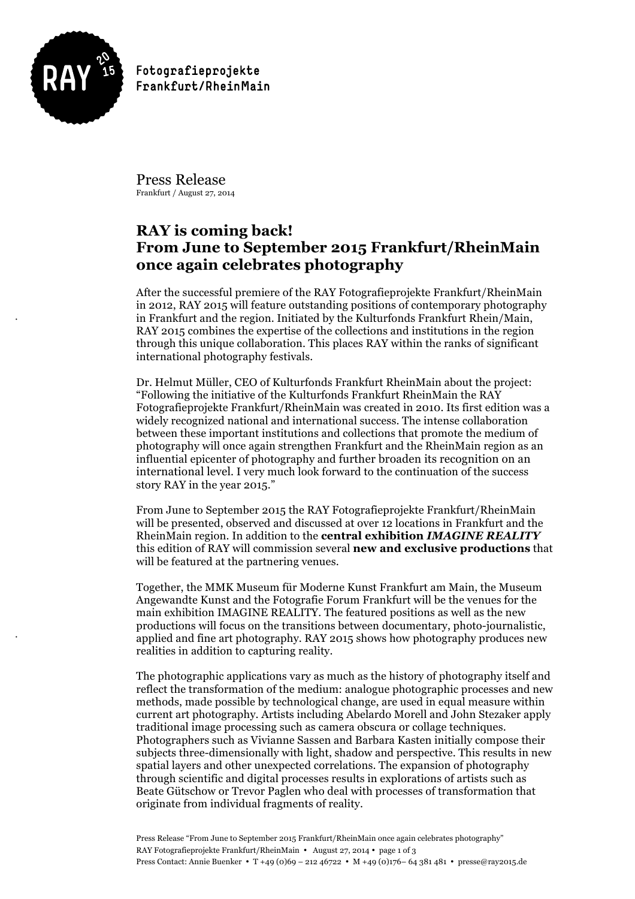

!

!

Fotografieprojekte Frankfurt/RheinMain

Press Release Frankfurt / August 27, 2014

# **RAY is coming back! From June to September 2015 Frankfurt/RheinMain once again celebrates photography**

After the successful premiere of the RAY Fotografieprojekte Frankfurt/RheinMain in 2012, RAY 2015 will feature outstanding positions of contemporary photography in Frankfurt and the region. Initiated by the Kulturfonds Frankfurt Rhein/Main, RAY 2015 combines the expertise of the collections and institutions in the region through this unique collaboration. This places RAY within the ranks of significant international photography festivals.

Dr. Helmut Müller, CEO of Kulturfonds Frankfurt RheinMain about the project: "Following the initiative of the Kulturfonds Frankfurt RheinMain the RAY Fotografieprojekte Frankfurt/RheinMain was created in 2010. Its first edition was a widely recognized national and international success. The intense collaboration between these important institutions and collections that promote the medium of photography will once again strengthen Frankfurt and the RheinMain region as an influential epicenter of photography and further broaden its recognition on an international level. I very much look forward to the continuation of the success story RAY in the year 2015."

From June to September 2015 the RAY Fotografieprojekte Frankfurt/RheinMain will be presented, observed and discussed at over 12 locations in Frankfurt and the RheinMain region. In addition to the **central exhibition** *IMAGINE REALITY* this edition of RAY will commission several **new and exclusive productions** that will be featured at the partnering venues.

Together, the MMK Museum für Moderne Kunst Frankfurt am Main, the Museum Angewandte Kunst and the Fotografie Forum Frankfurt will be the venues for the main exhibition IMAGINE REALITY. The featured positions as well as the new productions will focus on the transitions between documentary, photo-journalistic, applied and fine art photography. RAY 2015 shows how photography produces new realities in addition to capturing reality.

The photographic applications vary as much as the history of photography itself and reflect the transformation of the medium: analogue photographic processes and new methods, made possible by technological change, are used in equal measure within current art photography. Artists including Abelardo Morell and John Stezaker apply traditional image processing such as camera obscura or collage techniques. Photographers such as Vivianne Sassen and Barbara Kasten initially compose their subjects three-dimensionally with light, shadow and perspective. This results in new spatial layers and other unexpected correlations. The expansion of photography through scientific and digital processes results in explorations of artists such as Beate Gütschow or Trevor Paglen who deal with processes of transformation that originate from individual fragments of reality.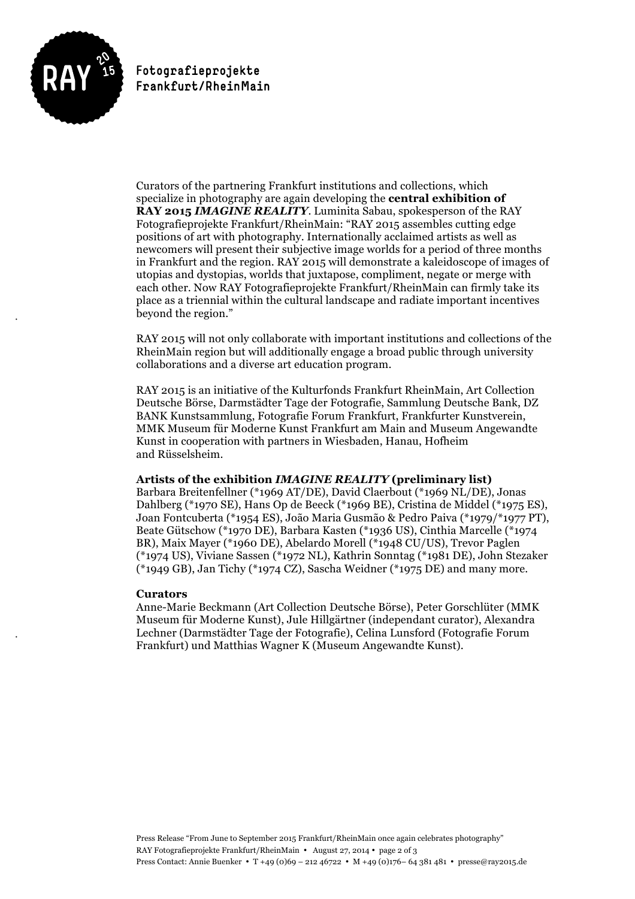

!

!

Fotografieprojekte Frankfurt/RheinMain

Curators of the partnering Frankfurt institutions and collections, which specialize in photography are again developing the **central exhibition of RAY 2015** *IMAGINE REALITY*. Luminita Sabau, spokesperson of the RAY Fotografieprojekte Frankfurt/RheinMain: "RAY 2015 assembles cutting edge positions of art with photography. Internationally acclaimed artists as well as newcomers will present their subjective image worlds for a period of three months in Frankfurt and the region. RAY 2015 will demonstrate a kaleidoscope of images of utopias and dystopias, worlds that juxtapose, compliment, negate or merge with each other. Now RAY Fotografieprojekte Frankfurt/RheinMain can firmly take its place as a triennial within the cultural landscape and radiate important incentives beyond the region."

RAY 2015 will not only collaborate with important institutions and collections of the RheinMain region but will additionally engage a broad public through university collaborations and a diverse art education program.

RAY 2015 is an initiative of the Kulturfonds Frankfurt RheinMain, Art Collection Deutsche Börse, Darmstädter Tage der Fotografie, Sammlung Deutsche Bank, DZ BANK Kunstsammlung, Fotografie Forum Frankfurt, Frankfurter Kunstverein, MMK Museum für Moderne Kunst Frankfurt am Main and Museum Angewandte Kunst in cooperation with partners in Wiesbaden, Hanau, Hofheim and Rüsselsheim.

#### **Artists of the exhibition** *IMAGINE REALITY* **(preliminary list)**

Barbara Breitenfellner (\*1969 AT/DE), David Claerbout (\*1969 NL/DE), Jonas Dahlberg (\*1970 SE), Hans Op de Beeck (\*1969 BE), Cristina de Middel (\*1975 ES), Joan Fontcuberta (\*1954 ES), João Maria Gusmão & Pedro Paiva (\*1979/\*1977 PT), Beate Gütschow (\*1970 DE), Barbara Kasten (\*1936 US), Cinthia Marcelle (\*1974 BR), Maix Mayer (\*1960 DE), Abelardo Morell (\*1948 CU/US), Trevor Paglen (\*1974 US), Viviane Sassen (\*1972 NL), Kathrin Sonntag (\*1981 DE), John Stezaker (\*1949 GB), Jan Tichy (\*1974 CZ), Sascha Weidner (\*1975 DE) and many more.

# **Curators**

Anne-Marie Beckmann (Art Collection Deutsche Börse), Peter Gorschlüter (MMK Museum für Moderne Kunst), Jule Hillgärtner (independant curator), Alexandra Lechner (Darmstädter Tage der Fotografie), Celina Lunsford (Fotografie Forum Frankfurt) und Matthias Wagner K (Museum Angewandte Kunst).